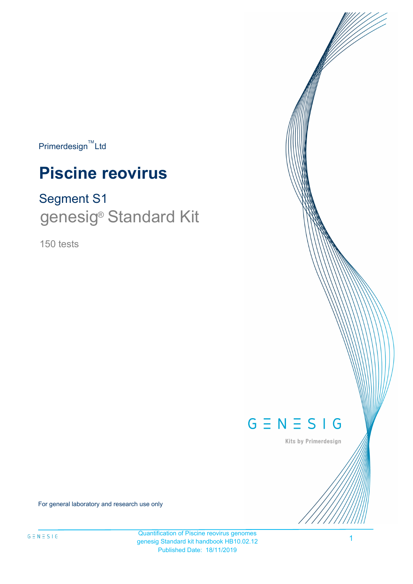$Primerdesign^{\text{TM}}$ Ltd

# **Piscine reovirus**

# Segment S1 genesig<sup>®</sup> Standard Kit

150 tests



Kits by Primerdesign

For general laboratory and research use only

Quantification of Piscine reovirus genomes genesig Standard kit handbook HB10.02.12 Published Date: 18/11/2019

1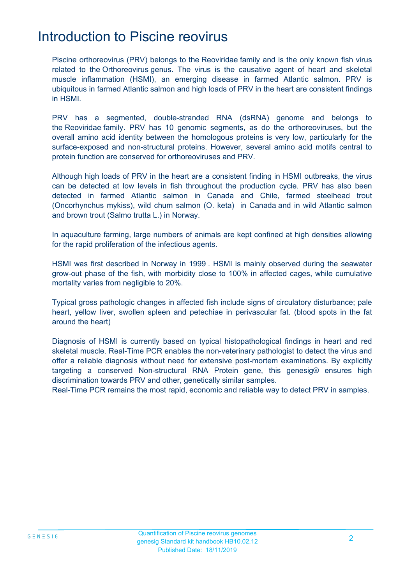### Introduction to Piscine reovirus

Piscine orthoreovirus (PRV) belongs to the Reoviridae family and is the only known fish virus related to the Orthoreovirus genus. The virus is the causative agent of heart and skeletal muscle inflammation (HSMI), an emerging disease in farmed Atlantic salmon. PRV is ubiquitous in farmed Atlantic salmon and high loads of PRV in the heart are consistent findings in HSMI.

PRV has a segmented, double-stranded RNA (dsRNA) genome and belongs to the Reoviridae family. PRV has 10 genomic segments, as do the orthoreoviruses, but the overall amino acid identity between the homologous proteins is very low, particularly for the surface-exposed and non-structural proteins. However, several amino acid motifs central to protein function are conserved for orthoreoviruses and PRV.

Although high loads of PRV in the heart are a consistent finding in HSMI outbreaks, the virus can be detected at low levels in fish throughout the production cycle. PRV has also been detected in farmed Atlantic salmon in Canada and Chile, farmed steelhead trout (Oncorhynchus mykiss), wild chum salmon (O. keta) in Canada and in wild Atlantic salmon and brown trout (Salmo trutta L.) in Norway.

In aquaculture farming, large numbers of animals are kept confined at high densities allowing for the rapid proliferation of the infectious agents.

HSMI was first described in Norway in 1999 . HSMI is mainly observed during the seawater grow-out phase of the fish, with morbidity close to 100% in affected cages, while cumulative mortality varies from negligible to 20%.

Typical gross pathologic changes in affected fish include signs of circulatory disturbance; pale heart, yellow liver, swollen spleen and petechiae in perivascular fat. (blood spots in the fat around the heart)

Diagnosis of HSMI is currently based on typical histopathological findings in heart and red skeletal muscle. Real-Time PCR enables the non-veterinary pathologist to detect the virus and offer a reliable diagnosis without need for extensive post-mortem examinations. By explicitly targeting a conserved Non-structural RNA Protein gene, this genesig® ensures high discrimination towards PRV and other, genetically similar samples.

Real-Time PCR remains the most rapid, economic and reliable way to detect PRV in samples.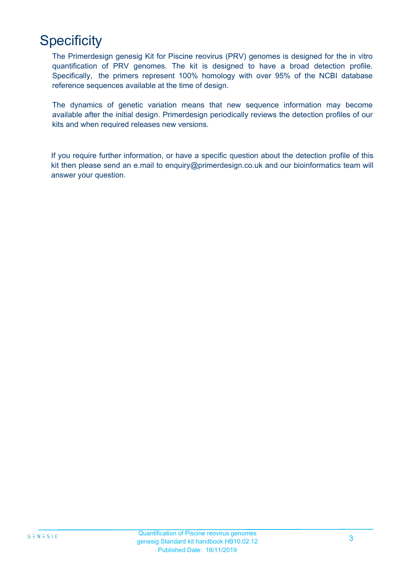# **Specificity**

The Primerdesign genesig Kit for Piscine reovirus (PRV) genomes is designed for the in vitro quantification of PRV genomes. The kit is designed to have a broad detection profile. Specifically, the primers represent 100% homology with over 95% of the NCBI database reference sequences available at the time of design.

The dynamics of genetic variation means that new sequence information may become available after the initial design. Primerdesign periodically reviews the detection profiles of our kits and when required releases new versions.

If you require further information, or have a specific question about the detection profile of this kit then please send an e.mail to enquiry@primerdesign.co.uk and our bioinformatics team will answer your question.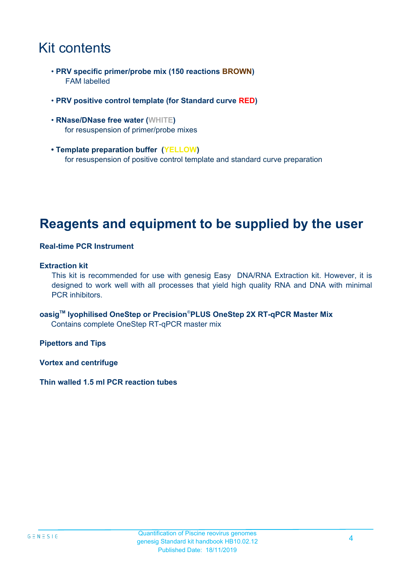## Kit contents

- **PRV specific primer/probe mix (150 reactions BROWN)** FAM labelled
- **PRV positive control template (for Standard curve RED)**
- **RNase/DNase free water (WHITE)** for resuspension of primer/probe mixes
- **Template preparation buffer (YELLOW)** for resuspension of positive control template and standard curve preparation

### **Reagents and equipment to be supplied by the user**

#### **Real-time PCR Instrument**

#### **Extraction kit**

This kit is recommended for use with genesig Easy DNA/RNA Extraction kit. However, it is designed to work well with all processes that yield high quality RNA and DNA with minimal PCR inhibitors.

**oasigTM lyophilised OneStep or Precision**®**PLUS OneStep 2X RT-qPCR Master Mix** Contains complete OneStep RT-qPCR master mix

**Pipettors and Tips**

**Vortex and centrifuge**

**Thin walled 1.5 ml PCR reaction tubes**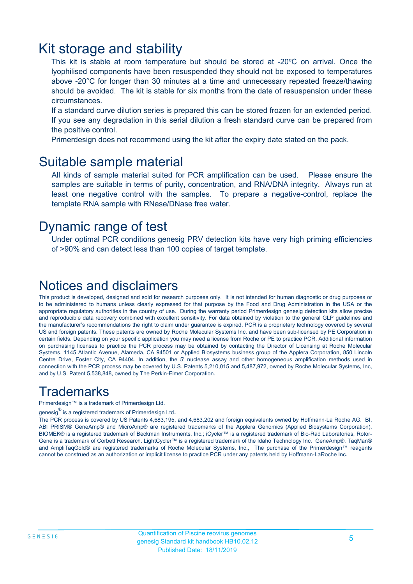### Kit storage and stability

This kit is stable at room temperature but should be stored at -20ºC on arrival. Once the lyophilised components have been resuspended they should not be exposed to temperatures above -20°C for longer than 30 minutes at a time and unnecessary repeated freeze/thawing should be avoided. The kit is stable for six months from the date of resuspension under these circumstances.

If a standard curve dilution series is prepared this can be stored frozen for an extended period. If you see any degradation in this serial dilution a fresh standard curve can be prepared from the positive control.

Primerdesign does not recommend using the kit after the expiry date stated on the pack.

### Suitable sample material

All kinds of sample material suited for PCR amplification can be used. Please ensure the samples are suitable in terms of purity, concentration, and RNA/DNA integrity. Always run at least one negative control with the samples. To prepare a negative-control, replace the template RNA sample with RNase/DNase free water.

### Dynamic range of test

Under optimal PCR conditions genesig PRV detection kits have very high priming efficiencies of >90% and can detect less than 100 copies of target template.

### Notices and disclaimers

This product is developed, designed and sold for research purposes only. It is not intended for human diagnostic or drug purposes or to be administered to humans unless clearly expressed for that purpose by the Food and Drug Administration in the USA or the appropriate regulatory authorities in the country of use. During the warranty period Primerdesign genesig detection kits allow precise and reproducible data recovery combined with excellent sensitivity. For data obtained by violation to the general GLP guidelines and the manufacturer's recommendations the right to claim under guarantee is expired. PCR is a proprietary technology covered by several US and foreign patents. These patents are owned by Roche Molecular Systems Inc. and have been sub-licensed by PE Corporation in certain fields. Depending on your specific application you may need a license from Roche or PE to practice PCR. Additional information on purchasing licenses to practice the PCR process may be obtained by contacting the Director of Licensing at Roche Molecular Systems, 1145 Atlantic Avenue, Alameda, CA 94501 or Applied Biosystems business group of the Applera Corporation, 850 Lincoln Centre Drive, Foster City, CA 94404. In addition, the 5' nuclease assay and other homogeneous amplification methods used in connection with the PCR process may be covered by U.S. Patents 5,210,015 and 5,487,972, owned by Roche Molecular Systems, Inc, and by U.S. Patent 5,538,848, owned by The Perkin-Elmer Corporation.

### **Trademarks**

Primerdesign™ is a trademark of Primerdesign Ltd.

genesig $^\circledR$  is a registered trademark of Primerdesign Ltd.

The PCR process is covered by US Patents 4,683,195, and 4,683,202 and foreign equivalents owned by Hoffmann-La Roche AG. BI, ABI PRISM® GeneAmp® and MicroAmp® are registered trademarks of the Applera Genomics (Applied Biosystems Corporation). BIOMEK® is a registered trademark of Beckman Instruments, Inc.; iCycler™ is a registered trademark of Bio-Rad Laboratories, Rotor-Gene is a trademark of Corbett Research. LightCycler™ is a registered trademark of the Idaho Technology Inc. GeneAmp®, TaqMan® and AmpliTaqGold® are registered trademarks of Roche Molecular Systems, Inc., The purchase of the Primerdesign™ reagents cannot be construed as an authorization or implicit license to practice PCR under any patents held by Hoffmann-LaRoche Inc.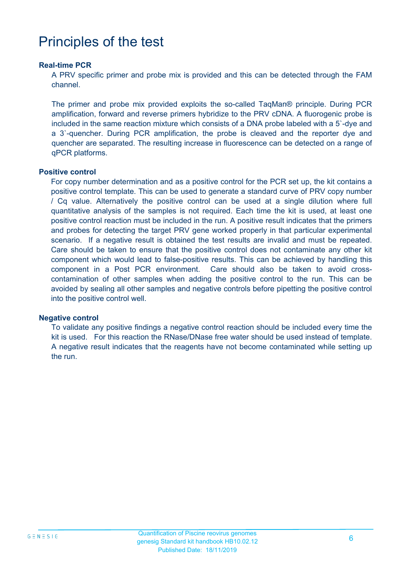## Principles of the test

#### **Real-time PCR**

A PRV specific primer and probe mix is provided and this can be detected through the FAM channel.

The primer and probe mix provided exploits the so-called TaqMan® principle. During PCR amplification, forward and reverse primers hybridize to the PRV cDNA. A fluorogenic probe is included in the same reaction mixture which consists of a DNA probe labeled with a 5`-dye and a 3`-quencher. During PCR amplification, the probe is cleaved and the reporter dye and quencher are separated. The resulting increase in fluorescence can be detected on a range of qPCR platforms.

#### **Positive control**

For copy number determination and as a positive control for the PCR set up, the kit contains a positive control template. This can be used to generate a standard curve of PRV copy number / Cq value. Alternatively the positive control can be used at a single dilution where full quantitative analysis of the samples is not required. Each time the kit is used, at least one positive control reaction must be included in the run. A positive result indicates that the primers and probes for detecting the target PRV gene worked properly in that particular experimental scenario. If a negative result is obtained the test results are invalid and must be repeated. Care should be taken to ensure that the positive control does not contaminate any other kit component which would lead to false-positive results. This can be achieved by handling this component in a Post PCR environment. Care should also be taken to avoid crosscontamination of other samples when adding the positive control to the run. This can be avoided by sealing all other samples and negative controls before pipetting the positive control into the positive control well.

#### **Negative control**

To validate any positive findings a negative control reaction should be included every time the kit is used. For this reaction the RNase/DNase free water should be used instead of template. A negative result indicates that the reagents have not become contaminated while setting up the run.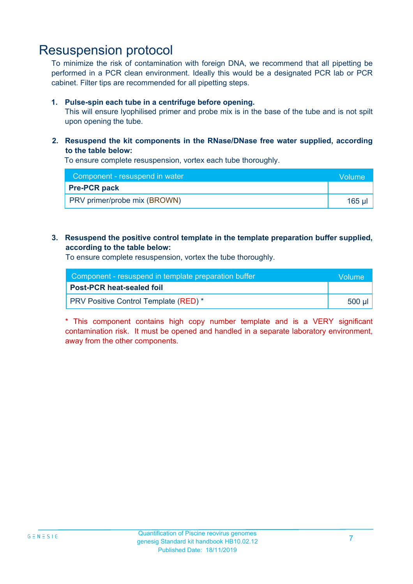### Resuspension protocol

To minimize the risk of contamination with foreign DNA, we recommend that all pipetting be performed in a PCR clean environment. Ideally this would be a designated PCR lab or PCR cabinet. Filter tips are recommended for all pipetting steps.

#### **1. Pulse-spin each tube in a centrifuge before opening.**

This will ensure lyophilised primer and probe mix is in the base of the tube and is not spilt upon opening the tube.

**2. Resuspend the kit components in the RNase/DNase free water supplied, according to the table below:**

To ensure complete resuspension, vortex each tube thoroughly.

| Component - resuspend in water | Volume |
|--------------------------------|--------|
| <b>Pre-PCR pack</b>            |        |
| PRV primer/probe mix (BROWN)   | 165 ul |

#### **3. Resuspend the positive control template in the template preparation buffer supplied, according to the table below:**

To ensure complete resuspension, vortex the tube thoroughly.

| Component - resuspend in template preparation buffer |                    |  |
|------------------------------------------------------|--------------------|--|
| Post-PCR heat-sealed foil                            |                    |  |
| <b>PRV Positive Control Template (RED)</b> *         | ี่ 500 µl <i>'</i> |  |

\* This component contains high copy number template and is a VERY significant contamination risk. It must be opened and handled in a separate laboratory environment, away from the other components.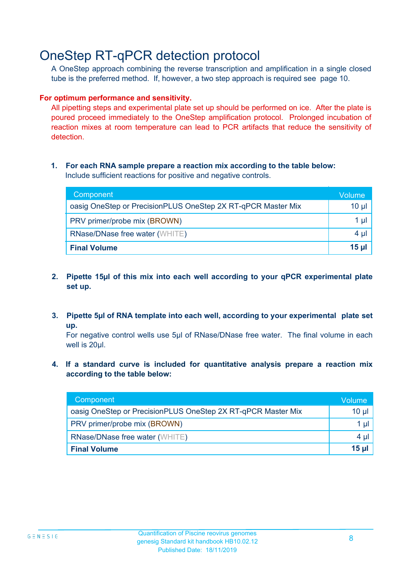### OneStep RT-qPCR detection protocol

A OneStep approach combining the reverse transcription and amplification in a single closed tube is the preferred method. If, however, a two step approach is required see page 10.

#### **For optimum performance and sensitivity.**

All pipetting steps and experimental plate set up should be performed on ice. After the plate is poured proceed immediately to the OneStep amplification protocol. Prolonged incubation of reaction mixes at room temperature can lead to PCR artifacts that reduce the sensitivity of detection.

#### **1. For each RNA sample prepare a reaction mix according to the table below:** Include sufficient reactions for positive and negative controls.

| Component                                                    | Volume       |
|--------------------------------------------------------------|--------------|
| oasig OneStep or PrecisionPLUS OneStep 2X RT-qPCR Master Mix | $10 \mu$     |
| PRV primer/probe mix (BROWN)                                 | 1 µl         |
| <b>RNase/DNase free water (WHITE)</b>                        | $4 \mu$      |
| <b>Final Volume</b>                                          | <u>15 µl</u> |

- **2. Pipette 15µl of this mix into each well according to your qPCR experimental plate set up.**
- **3. Pipette 5µl of RNA template into each well, according to your experimental plate set up.**

For negative control wells use 5µl of RNase/DNase free water. The final volume in each well is 20ul.

**4. If a standard curve is included for quantitative analysis prepare a reaction mix according to the table below:**

| Component                                                    | Volume   |
|--------------------------------------------------------------|----------|
| oasig OneStep or PrecisionPLUS OneStep 2X RT-qPCR Master Mix | $10 \mu$ |
| PRV primer/probe mix (BROWN)                                 | 1 µI     |
| <b>RNase/DNase free water (WHITE)</b>                        | $4 \mu$  |
| <b>Final Volume</b>                                          | $15$ µ   |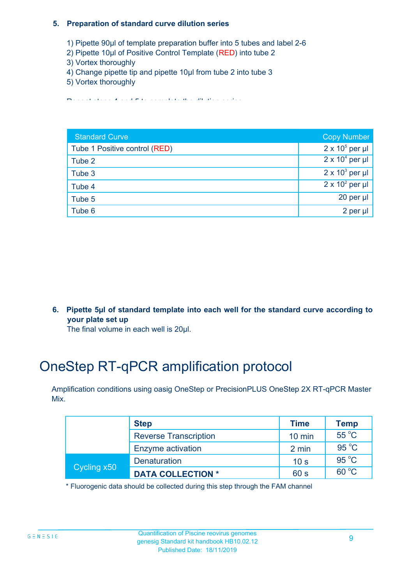#### **5. Preparation of standard curve dilution series**

- 1) Pipette 90µl of template preparation buffer into 5 tubes and label 2-6
- 2) Pipette 10µl of Positive Control Template (RED) into tube 2
- 3) Vortex thoroughly
- 4) Change pipette tip and pipette 10µl from tube 2 into tube 3
- 5) Vortex thoroughly

Repeat steps 4 and 5 to complete the dilution series

| <b>Standard Curve</b>         | <b>Copy Number</b>     |
|-------------------------------|------------------------|
| Tube 1 Positive control (RED) | $2 \times 10^5$ per µl |
| Tube 2                        | $2 \times 10^4$ per µl |
| Tube 3                        | $2 \times 10^3$ per µl |
| Tube 4                        | $2 \times 10^2$ per µl |
| Tube 5                        | 20 per $\mu$           |
| Tube 6                        | 2 per µl               |

**6. Pipette 5µl of standard template into each well for the standard curve according to your plate set up**

The final volume in each well is 20µl.

# OneStep RT-qPCR amplification protocol

Amplification conditions using oasig OneStep or PrecisionPLUS OneStep 2X RT-qPCR Master Mix.

| <b>Step</b> |                              | <b>Time</b>      | Temp           |
|-------------|------------------------------|------------------|----------------|
|             | <b>Reverse Transcription</b> | $10 \text{ min}$ | 55 °C          |
|             | Enzyme activation            | 2 min            | 95 °C          |
| Cycling x50 | <b>Denaturation</b>          | 10 <sub>s</sub>  | $95^{\circ}$ C |
|             | <b>DATA COLLECTION *</b>     | 60 s             | $60^{\circ}$ C |

\* Fluorogenic data should be collected during this step through the FAM channel